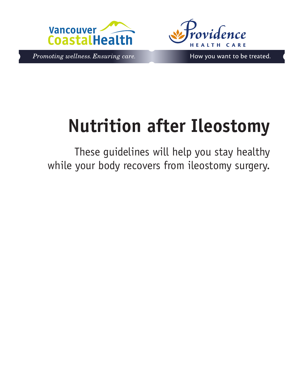



Promoting wellness. Ensuring care.

How you want to be treated.

# **Nutrition after Ileostomy**

These guidelines will help you stay healthy while your body recovers from ileostomy surgery.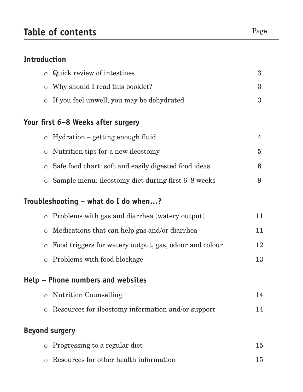# **Introduction**

|         | Quick review of intestines                                 | 3              |
|---------|------------------------------------------------------------|----------------|
|         | o Why should I read this booklet?                          | 3              |
|         | o If you feel unwell, you may be dehydrated                | $\overline{3}$ |
|         | Your first 6–8 Weeks after surgery                         |                |
|         | $\circ$ Hydration – getting enough fluid                   | $\overline{4}$ |
|         | $\circ$ Nutrition tips for a new ileostomy                 | $\overline{5}$ |
| $\circ$ | Safe food chart: soft and easily digested food ideas       | 6              |
|         | $\circ$ Sample menu: ileostomy diet during first 6–8 weeks | 9              |
|         | Troubleshooting – what do I do when?                       |                |
|         | $\circ$ Problems with gas and diarrhea (watery output)     | 11             |
| $\circ$ | Medications that can help gas and/or diarrhea              | 11             |
| $\circ$ | Food triggers for watery output, gas, odour and colour     | 12             |
|         | $\circ$ Problems with food blockage                        | 13             |
|         | Help – Phone numbers and websites                          |                |
|         | <b>Nutrition Counselling</b>                               | 14             |
|         | $\circ$ Resources for ileostomy information and/or support | 14             |
|         | <b>Beyond surgery</b>                                      |                |
| $\circ$ | Progressing to a regular diet                              | 15             |
|         | Resources for other health information                     | 15             |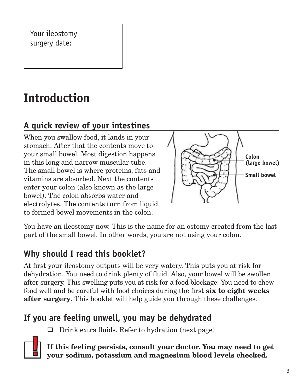Your ileostomy surgery date:

# **Introduction**

# **A quick review of your intestines**

When you swallow food, it lands in your stomach. After that the contents move to your small bowel. Most digestion happens in this long and narrow muscular tube. The small bowel is where proteins, fats and vitamins are absorbed. Next the contents enter your colon (also known as the large bowel). The colon absorbs water and electrolytes. The contents turn from liquid to formed bowel movements in the colon.



You have an ileostomy now. This is the name for an ostomy created from the last part of the small bowel. In other words, you are not using your colon.

# **Why should I read this booklet?**

At first your ileostomy outputs will be very watery. This puts you at risk for dehydration. You need to drink plenty of fluid. Also, your bowel will be swollen after surgery. This swelling puts you at risk for a food blockage. You need to chew food well and be careful with food choices during the first **six to eight weeks after surgery**. This booklet will help guide you through these challenges.

# **If you are feeling unwell, you may be dehydrated**

 $\Box$  Drink extra fluids. Refer to hydration (next page)



**If this feeling persists, consult your doctor. You may need to get your sodium, potassium and magnesium blood levels checked.**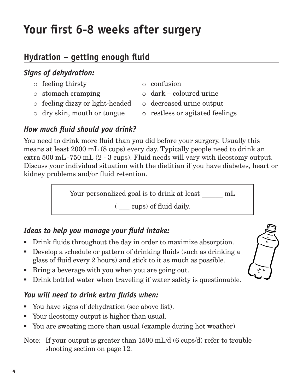# **Your first 6-8 weeks after surgery**

# **Hydration – getting enough fluid**

#### *Signs of dehydration:*

- o feeling thirsty
- o stomach cramping
- o feeling dizzy or light-headed
- o dry skin, mouth or tongue
- o confusion
- o dark coloured urine
- o decreased urine output
- o restless or agitated feelings

#### *How much fluid should you drink?*

You need to drink more fluid than you did before your surgery. Usually this means at least 2000 mL (8 cups) every day. Typically people need to drink an extra 500 mL-750 mL (2 - 3 cups). Fluid needs will vary with ileostomy output. Discuss your individual situation with the dietitian if you have diabetes, heart or kidney problems and/or fluid retention.

Your personalized goal is to drink at least  $\text{mL}$ 

( \_\_\_ cups) of fluid daily.

### *Ideas to help you manage your fluid intake:*

- Drink fluids throughout the day in order to maximize absorption.
- Develop a schedule or pattern of drinking fluids (such as drinking a glass of fluid every 2 hours) and stick to it as much as possible.
- Bring a beverage with you when you are going out.
- Drink bottled water when traveling if water safety is questionable.

#### *You will need to drink extra fluids when:*

- You have signs of dehydration (see above list).
- Your ileostomy output is higher than usual.
- You are sweating more than usual (example during hot weather)

#### Note: If your output is greater than 1500 mL/d (6 cups/d) refer to trouble shooting section on page 12.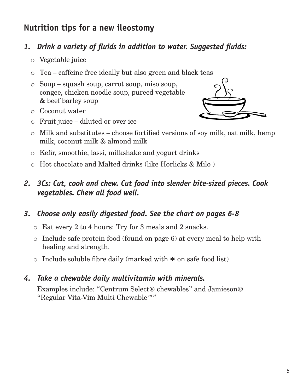### **Nutrition tips for a new ileostomy**

#### *1. Drink a variety of fluids in addition to water. Suggested fluids:*

- o Vegetable juice
- o Tea caffeine free ideally but also green and black teas
- o Soup squash soup, carrot soup, miso soup, congee, chicken noodle soup, pureed vegetable & beef barley soup
- o Coconut water
- o Fruit juice diluted or over ice



- o Milk and substitutes choose fortified versions of soy milk, oat milk, hemp milk, coconut milk & almond milk
- o Kefir, smoothie, lassi, milkshake and yogurt drinks
- o Hot chocolate and Malted drinks (like Horlicks & Milo )

#### *2. 3Cs: Cut, cook and chew. Cut food into slender bite-sized pieces. Cook vegetables. Chew all food well.*

#### *3. Choose only easily digested food. See the chart on pages 6-8*

- o Eat every 2 to 4 hours: Try for 3 meals and 2 snacks.
- o Include safe protein food (found on page 6) at every meal to help with healing and strength.
- <sup>o</sup> Include soluble fibre daily (marked with **\*** on safe food list)

#### *4. Take a chewable daily multivitamin with minerals.*

Examples include: "Centrum Select® chewables" and Jamieson® "Regular Vita-Vim Multi Chewable™"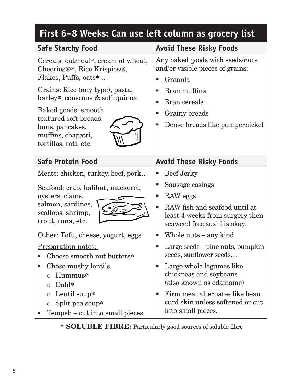| First 6–8 Weeks: Can use left column as grocery list                                                                                                                                                                                                                                                                   |                                                                                                                                                                                                                                                                                                                                          |  |  |  |
|------------------------------------------------------------------------------------------------------------------------------------------------------------------------------------------------------------------------------------------------------------------------------------------------------------------------|------------------------------------------------------------------------------------------------------------------------------------------------------------------------------------------------------------------------------------------------------------------------------------------------------------------------------------------|--|--|--|
| <b>Safe Starchy Food</b>                                                                                                                                                                                                                                                                                               | <b>Avoid These Risky Foods</b>                                                                                                                                                                                                                                                                                                           |  |  |  |
| Cereals: oatmeal*, cream of wheat,<br>Cheerios <sup>®*</sup> , Rice Krispies <sup>®</sup> ,<br>Flakes, Puffs, oats*<br>Grains: Rice (any type), pasta,<br>barley*, couscous & soft quinoa.<br>Baked goods: smooth<br>textured soft breads,<br>buns, pancakes,<br>muffins, chapatti,<br>tortillas, roti, etc.           | Any baked goods with seeds/nuts<br>and/or visible pieces of grains:<br>Granola<br>Bran muffins<br>$\blacksquare$<br>Bran cereals<br>п<br>Grainy breads<br>Dense breads like pumpernickel<br>п                                                                                                                                            |  |  |  |
| <b>Safe Protein Food</b>                                                                                                                                                                                                                                                                                               | <b>Avoid These Risky Foods</b>                                                                                                                                                                                                                                                                                                           |  |  |  |
| Meats: chicken, turkey, beef, pork<br>Seafood: crab, halibut, mackerel,<br>oysters, clams,<br>salmon, sardines,<br>scallops, shrimp,<br>trout, tuna, etc.<br>Other: Tofu, cheese, yogurt, eggs<br>Preparation notes:<br>Choose smooth nut butters*<br>Chose mushy lentils<br>Hummus*<br>$\bigcirc$<br>Dahl*<br>$\circ$ | Beef Jerky<br>Г<br>Sausage casings<br>п<br>RAW eggs<br>п<br>RAW fish and seafood until at<br>least 4 weeks from surgery then<br>seaweed free sushi is okay.<br>Whole nuts – any kind<br>Large seeds – pine nuts, pumpkin<br>seeds, sunflower seeds<br>Large whole legumes like<br>п<br>chickpeas and soybeans<br>(also known as edamame) |  |  |  |
| Lentil soup*<br>$\circ$<br>Split pea soup*<br>$\circ$<br>Tempeh – cut into small pieces                                                                                                                                                                                                                                | Firm meat alternates like bean<br>п<br>curd skin unless softened or cut<br>into small pieces.                                                                                                                                                                                                                                            |  |  |  |

**\* SOLUBLE FIBRE:** Particularly good sources of soluble fibre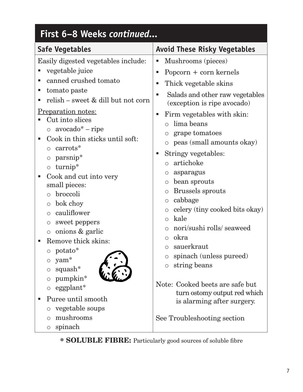| First 6–8 Weeks continued                                                                                                                                                                                                                                                                                                                                                                                       |                                                                                                                                                                                                                                                                                                                                                                                                                                                                      |  |  |  |
|-----------------------------------------------------------------------------------------------------------------------------------------------------------------------------------------------------------------------------------------------------------------------------------------------------------------------------------------------------------------------------------------------------------------|----------------------------------------------------------------------------------------------------------------------------------------------------------------------------------------------------------------------------------------------------------------------------------------------------------------------------------------------------------------------------------------------------------------------------------------------------------------------|--|--|--|
| <b>Safe Vegetables</b>                                                                                                                                                                                                                                                                                                                                                                                          | <b>Avoid These Risky Vegetables</b>                                                                                                                                                                                                                                                                                                                                                                                                                                  |  |  |  |
| Easily digested vegetables include:<br>vegetable juice<br>canned crushed tomato<br>ш<br>tomato paste<br>п<br>relish – sweet & dill but not corn<br><u>Preparation notes:</u><br>Cut into slices<br>$\circ$ avocado* – ripe<br>Cook in thin sticks until soft:<br>■<br>carrots*<br>$\circ$<br>parsnip*<br>$\circ$<br>$turnip*$<br>$\circ$<br>Cook and cut into very<br>п<br>small pieces:<br>broccoli<br>$\circ$ | Mushrooms (pieces)<br>П<br>Popcorn $+$ corn kernels<br>ш<br>Thick vegetable skins<br>П<br>Salads and other raw vegetables<br>ш<br>(exception is ripe avocado)<br>Firm vegetables with skin:<br>ш<br>lima beans<br>$\bigcirc$<br>grape tomatoes<br>$\circ$<br>peas (small amounts okay)<br>$\circ$<br>Stringy vegetables:<br>п<br>artichoke<br>$\bigcirc$<br>asparagus<br>O<br>bean sprouts<br>$\circ$<br><b>Brussels sprouts</b><br>$\circ$<br>cabbage<br>$\bigcirc$ |  |  |  |
| bok choy<br>$\circ$<br>cauliflower<br>$\circ$<br>sweet peppers<br>$\bigcirc$<br>onions & garlic<br>$\bigcirc$<br>Remove thick skins:<br>potato*<br>yam <sup>*</sup><br>$\circ$<br>squash $*$<br>$\bigcirc$<br>pumpkin*<br>$\circ$<br>eggplant*<br>$\circ$<br>Puree until smooth<br>п<br>vegetable soups<br>$\circ$<br>mushrooms<br>$\circ$<br>spinach<br>$\bigcirc$                                             | celery (tiny cooked bits okay)<br>$\bigcirc$<br>kale<br>$\circ$<br>nori/sushi rolls/ seaweed<br>$\circ$<br>okra<br>$\bigcirc$<br>sauerkraut<br>$\circ$<br>spinach (unless pureed)<br>$\circ$<br>string beans<br>$\circ$<br>Note: Cooked beets are safe but<br>turn ostomy output red which<br>is alarming after surgery.<br>See Troubleshooting section                                                                                                              |  |  |  |

**\* SOLUBLE FIBRE:** Particularly good sources of soluble fibre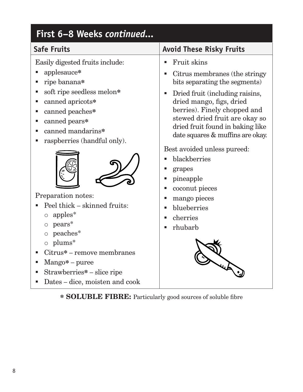| First 6-8 Weeks continued<br><b>Safe Fruits</b>                                                                                                                                                                                                                                                                                                                                                                                                                                                                                | <b>Avoid These Risky Fruits</b>                                                                                                                                                                                                                                                                                                                                                                                                                                           |
|--------------------------------------------------------------------------------------------------------------------------------------------------------------------------------------------------------------------------------------------------------------------------------------------------------------------------------------------------------------------------------------------------------------------------------------------------------------------------------------------------------------------------------|---------------------------------------------------------------------------------------------------------------------------------------------------------------------------------------------------------------------------------------------------------------------------------------------------------------------------------------------------------------------------------------------------------------------------------------------------------------------------|
| Easily digested fruits include:<br>applesauce*<br>ripe banana*<br>ш<br>soft ripe seedless melon*<br>п<br>canned apricots*<br>ш<br>canned peaches*<br>ш<br>canned pears*<br>ш<br>canned mandarins*<br>п<br>raspberries (handful only).<br>Preparation notes:<br>Peel thick – skinned fruits:<br>apples*<br>$\circ$<br>$pears*$<br>$\bigcirc$<br>peaches*<br>$\bigcirc$<br>$\circ$ plums <sup>*</sup><br>Citrus* – remove membranes<br>$Mango* - pure$<br>п<br>Strawberries* – slice ripe<br>п<br>Dates – dice, moisten and cook | <b>Fruit skins</b><br>п<br>Citrus membranes (the stringy<br>bits separating the segments)<br>Dried fruit (including raisins,<br>п<br>dried mango, figs, dried<br>berries). Finely chopped and<br>stewed dried fruit are okay so<br>dried fruit found in baking like<br>date squares & muffins are okay.<br>Best avoided unless pureed:<br>blackberries<br>grapes<br>pineapple<br>п<br>coconut pieces<br>п<br>mango pieces<br>blueberries<br>п<br>cherries<br>rhubarb<br>■ |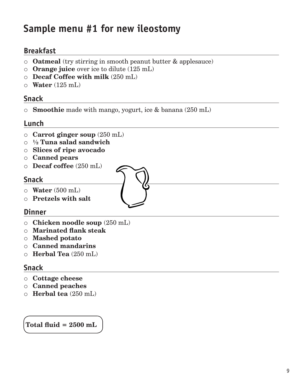# **Sample menu #1 for new ileostomy**

#### **Breakfast**

- o **Oatmeal** (try stirring in smooth peanut butter & applesauce)
- o **Orange juice** over ice to dilute (125 mL)
- o **Decaf Coffee with milk** (250 mL)
- o **Water** (125 mL)

#### **Snack**

o **Smoothie** made with mango, yogurt, ice & banana (250 mL)

#### **Lunch**

- o **Carrot ginger soup** (250 mL)
- o **½ Tuna salad sandwich**
- o **Slices of ripe avocado**
- o **Canned pears**
- o **Decaf coffee** (250 mL)

#### **Snack**

- o **Water** (500 mL)
- o **Pretzels with salt**

#### **Dinner**

- o **Chicken noodle soup** (250 mL)
- o **Marinated flank steak**
- o **Mashed potato**
- o **Canned mandarins**
- o **Herbal Tea** (250 mL)

#### **Snack**

- o **Cottage cheese**
- o **Canned peaches**
- o **Herbal tea** (250 mL)

 **Total fluid = 2500 mL**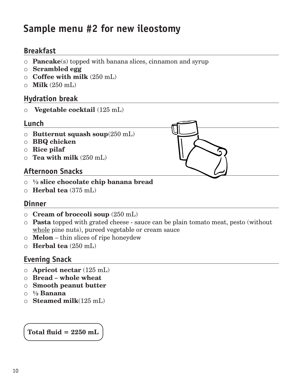# **Sample menu #2 for new ileostomy**

#### **Breakfast**

- o **Pancake**(s) topped with banana slices, cinnamon and syrup
- o **Scrambled egg**
- o **Coffee with milk** (250 mL)
- o **Milk** (250 mL)

#### **Hydration break**

o **Vegetable cocktail** (125 mL)

#### **Lunch**

- o **Butternut squash soup**(250 mL)
- o **BBQ chicken**
- o **Rice pilaf**
- o **Tea with milk** (250 mL)

#### **Afternoon Snacks**

- o **½ slice chocolate chip banana bread**
- o **Herbal tea** (375 mL)

#### **Dinner**

- o **Cream of broccoli soup** (250 mL)
- o **Pasta** topped with grated cheese sauce can be plain tomato meat, pesto (without whole pine nuts), pureed vegetable or cream sauce
- o **Melon**  thin slices of ripe honeydew
- o **Herbal tea** (250 mL)

#### **Evening Snack**

- o **Apricot nectar** (125 mL)
- o **Bread whole wheat**
- o **Smooth peanut butter**
- o **½ Banana**
- o **Steamed milk**(125 mL)

#### **Total fluid = 2250 mL**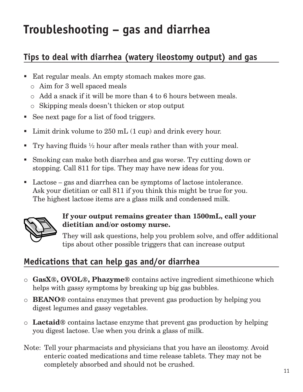# **Troubleshooting – gas and diarrhea**

# **Tips to deal with diarrhea (watery ileostomy output) and gas**

- **Eat regular meals. An empty stomach makes more gas.** 
	- o Aim for 3 well spaced meals
	- $\circ$  Add a snack if it will be more than 4 to 6 hours between meals.
	- o Skipping meals doesn't thicken or stop output
- See next page for a list of food triggers.
- If Limit drink volume to  $250$  mL  $(1 \text{ cup})$  and drink every hour.
- Try having fluids  $\frac{1}{2}$  hour after meals rather than with your meal.
- Smoking can make both diarrhea and gas worse. Try cutting down or stopping. Call 811 for tips. They may have new ideas for you.
- Lactose gas and diarrhea can be symptoms of lactose intolerance. Ask your dietitian or call 811 if you think this might be true for you. The highest lactose items are a glass milk and condensed milk.



#### **If your output remains greater than 1500mL, call your dietitian and/or ostomy nurse.**

They will ask questions, help you problem solve, and offer additional tips about other possible triggers that can increase output

# **Medications that can help gas and/or diarrhea**

- o **GasX®, OVOL®, Phazyme®** contains active ingredient simethicone which helps with gassy symptoms by breaking up big gas bubbles.
- o **BEANO®** contains enzymes that prevent gas production by helping you digest legumes and gassy vegetables.
- o **Lactaid®** contains lactase enzyme that prevent gas production by helping you digest lactose. Use when you drink a glass of milk.
- Note: Tell your pharmacists and physicians that you have an ileostomy. Avoid enteric coated medications and time release tablets. They may not be completely absorbed and should not be crushed.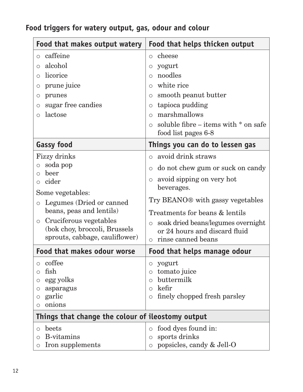| Food that makes output watery                                                                                                                                                                                                                                                      | Food that helps thicken output                                                                                                                                                                                                                                                                                               |  |  |  |  |  |
|------------------------------------------------------------------------------------------------------------------------------------------------------------------------------------------------------------------------------------------------------------------------------------|------------------------------------------------------------------------------------------------------------------------------------------------------------------------------------------------------------------------------------------------------------------------------------------------------------------------------|--|--|--|--|--|
| caffeine<br>$\circ$<br>alcohol<br>$\circ$<br>licorice<br>$\circ$<br>prune juice<br>$\bigcirc$                                                                                                                                                                                      | cheese<br>$\circ$<br>yogurt<br>$\circ$<br>noodles<br>$\bigcirc$<br>white rice<br>$\bigcirc$                                                                                                                                                                                                                                  |  |  |  |  |  |
| prunes<br>$\circ$<br>sugar free candies<br>$\circ$<br>lactose<br>$\circ$                                                                                                                                                                                                           | smooth peanut butter<br>$\circ$<br>tapioca pudding<br>$\circ$<br>marshmallows<br>$\bigcirc$<br>soluble fibre $-$ items with $*$ on safe<br>$\bigcap$<br>food list pages 6-8                                                                                                                                                  |  |  |  |  |  |
| <b>Gassy food</b>                                                                                                                                                                                                                                                                  | Things you can do to lessen gas                                                                                                                                                                                                                                                                                              |  |  |  |  |  |
| Fizzy drinks<br>soda pop<br>$\bigcirc$<br>beer<br>$\circ$<br>cider<br>$\circ$<br>Some vegetables:<br>Legumes (Dried or canned<br>$\bigcirc$<br>beans, peas and lentils)<br>Cruciferous vegetables<br>$\bigcirc$<br>(bok choy, broccoli, Brussels<br>sprouts, cabbage, cauliflower) | avoid drink straws<br>$\bigcirc$<br>do not chew gum or suck on candy<br>$\circ$<br>avoid sipping on very hot<br>beverages.<br>Try BEANO <sup>®</sup> with gassy vegetables<br>Treatments for beans & lentils<br>soak dried beans/legumes overnight<br>$\circ$<br>or 24 hours and discard fluid<br>$\circ$ rinse canned beans |  |  |  |  |  |
| Food that makes odour worse                                                                                                                                                                                                                                                        | Food that helps manage odour                                                                                                                                                                                                                                                                                                 |  |  |  |  |  |
| coffee<br>$\circ$<br>fish<br>O<br>egg yolks<br>$\circ$<br>asparagus<br>О<br>garlic<br>$\bigcirc$<br>onions<br>$\circ$                                                                                                                                                              | yogurt<br>O<br>tomato juice<br>O<br>buttermilk<br>∩<br>kefir<br>$\bigcirc$<br>finely chopped fresh parsley<br>$\circ$                                                                                                                                                                                                        |  |  |  |  |  |
|                                                                                                                                                                                                                                                                                    | Things that change the colour of ileostomy output                                                                                                                                                                                                                                                                            |  |  |  |  |  |
| beets<br>$\circ$<br>B-vitamins<br>$\circ$<br>Iron supplements<br>$\bigcirc$                                                                                                                                                                                                        | food dyes found in:<br>$\circ$<br>sports drinks<br>O<br>popsicles, candy & Jell-O<br>$\circ$                                                                                                                                                                                                                                 |  |  |  |  |  |

# **Food triggers for watery output, gas, odour and colour**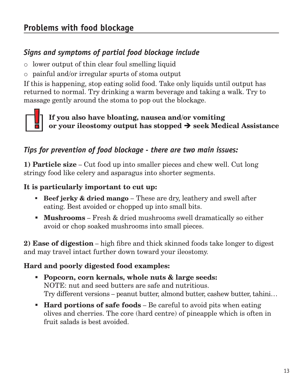### *Signs and symptoms of partial food blockage include*

- o lower output of thin clear foul smelling liquid
- o painful and/or irregular spurts of stoma output

If this is happening, stop eating solid food. Take only liquids until output has returned to normal. Try drinking a warm beverage and taking a walk. Try to massage gently around the stoma to pop out the blockage.



#### **If you also have bloating, nausea and/or vomiting or your ileostomy output has stopped seek Medical Assistance**

#### *Tips for prevention of food blockage - there are two main issues:*

**1) Particle size** – Cut food up into smaller pieces and chew well. Cut long stringy food like celery and asparagus into shorter segments.

#### **It is particularly important to cut up:**

- **Beef jerky & dried mango** These are dry, leathery and swell after eating. Best avoided or chopped up into small bits.
- **Mushrooms** Fresh & dried mushrooms swell dramatically so either avoid or chop soaked mushrooms into small pieces.

**2) Ease of digestion** – high fibre and thick skinned foods take longer to digest and may travel intact further down toward your ileostomy.

#### **Hard and poorly digested food examples:**

- **Popcorn, corn kernals, whole nuts & large seeds:** NOTE: nut and seed butters are safe and nutritious. Try different versions – peanut butter, almond butter, cashew butter, tahini…
- **Hard portions of safe foods** Be careful to avoid pits when eating olives and cherries. The core (hard centre) of pineapple which is often in fruit salads is best avoided.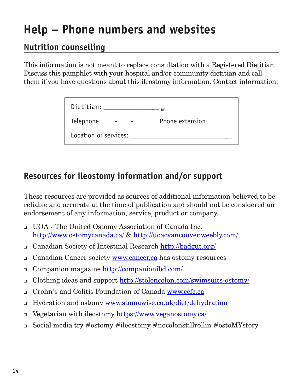# **Help – Phone numbers and websites**

#### **Nutrition counselling**

This information is not meant to replace consultation with a Registered Dietitian. Discuss this pamphlet with your hospital and/or community dietitian and call them if you have questions about this ileostomy information. Contact information:

| Dietitian:                 | <b>RD</b>       |
|----------------------------|-----------------|
| Telephone ______-_________ | Phone extension |
| Location or services:      |                 |

### **Resources for ileostomy information and/or support**

These resources are provided as sources of additional information believed to be reliable and accurate at the time of publication and should not be considered an endorsement of any information, service, product or company.

- UOA The United Ostomy Association of Canada Inc. http://www.ostomycanada.ca/ & http://uoacvancouver.weebly.com/
- Canadian Society of Intestinal Research http://badgut.org/
- Canadian Cancer society www.cancer.ca has ostomy resources
- □ Companion magazine http://companionibd.com/
- Clothing ideas and support http://stolencolon.com/swimsuits-ostomy/
- Crohn's and Colitis Foundation of Canada www.ccfc.ca
- □ Hydration and ostomy www.stomawise.co.uk/diet/dehydration
- Vegetarian with ileostomy https://www.veganostomy.ca/
- Social media try #ostomy #ileostomy #nocolonstillrollin #ostoMYstory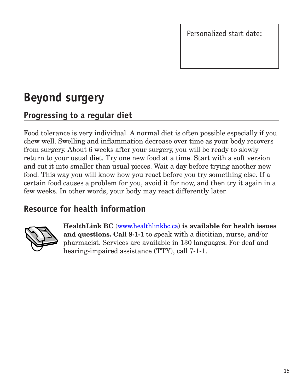Personalized start date:

# **Beyond surgery**

# **Progressing to a regular diet**

Food tolerance is very individual. A normal diet is often possible especially if you chew well. Swelling and inflammation decrease over time as your body recovers from surgery. About 6 weeks after your surgery, you will be ready to slowly return to your usual diet. Try one new food at a time. Start with a soft version and cut it into smaller than usual pieces. Wait a day before trying another new food. This way you will know how you react before you try something else. If a certain food causes a problem for you, avoid it for now, and then try it again in a few weeks. In other words, your body may react differently later.

# **Resource for health information**



**HealthLink BC** (www.healthlinkbc.ca) **is available for health issues and questions. Call 8-1-1** to speak with a dietitian, nurse, and/or pharmacist. Services are available in 130 languages. For deaf and hearing-impaired assistance (TTY), call 7-1-1.